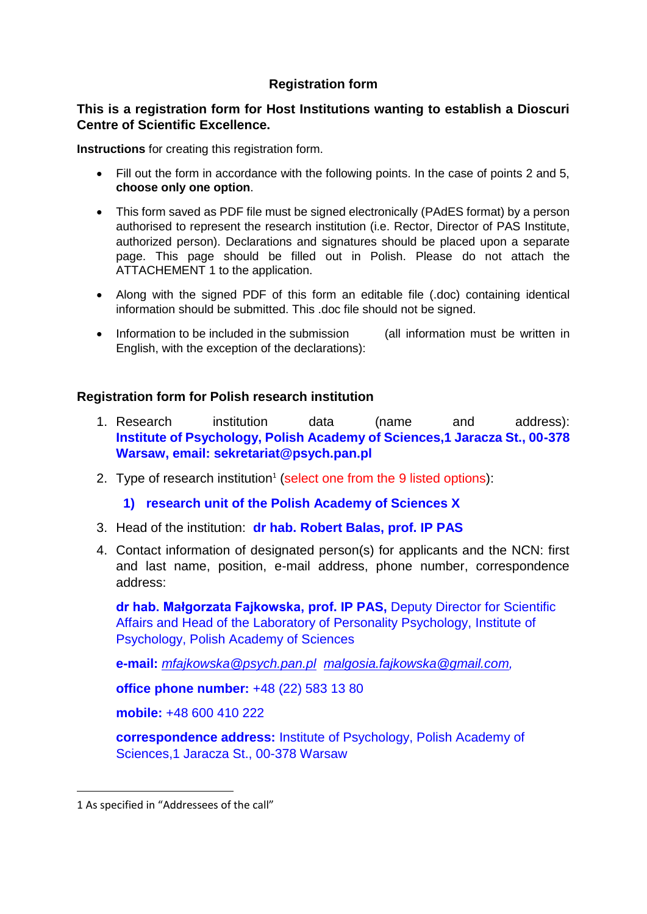## **Registration form**

## **This is a registration form for Host Institutions wanting to establish a Dioscuri Centre of Scientific Excellence.**

**Instructions** for creating this registration form.

- Fill out the form in accordance with the following points. In the case of points 2 and 5, **choose only one option**.
- This form saved as PDF file must be signed electronically (PAdES format) by a person authorised to represent the research institution (i.e. Rector, Director of PAS Institute, authorized person). Declarations and signatures should be placed upon a separate page. This page should be filled out in Polish. Please do not attach the ATTACHEMENT 1 to the application.
- Along with the signed PDF of this form an editable file (.doc) containing identical information should be submitted. This .doc file should not be signed.
- Information to be included in the submission (all information must be written in English, with the exception of the declarations):

## **Registration form for Polish research institution**

- 1. Research institution data (name and address): **Institute of Psychology, Polish Academy of Sciences,1 Jaracza St., 00-378 Warsaw, email: sekretariat@psych.pan.pl**
- 2. Type of research institution<sup>1</sup> (select one from the 9 listed options):

**1) research unit of the Polish Academy of Sciences X**

- 3. Head of the institution: **dr hab. Robert Balas, prof. IP PAS**
- 4. Contact information of designated person(s) for applicants and the NCN: first and last name, position, e-mail address, phone number, correspondence address:

**dr hab. Małgorzata Fajkowska, prof. IP PAS,** Deputy Director for Scientific Affairs and Head of the Laboratory of Personality Psychology, Institute of Psychology, Polish Academy of Sciences

**e-mail:** *[mfajkowska@psych.pan.pl](mailto:mfajkowska@psych.pan.pl) [malgosia.fajkowska@gmail.com,](mailto:malgosia.fajkowska@gmail.com)* 

**office phone number:** +48 (22) 583 13 80

**mobile:** +48 600 410 222

**correspondence address:** Institute of Psychology, Polish Academy of Sciences,1 Jaracza St., 00-378 Warsaw

**.** 

<sup>1</sup> As specified in "Addressees of the call"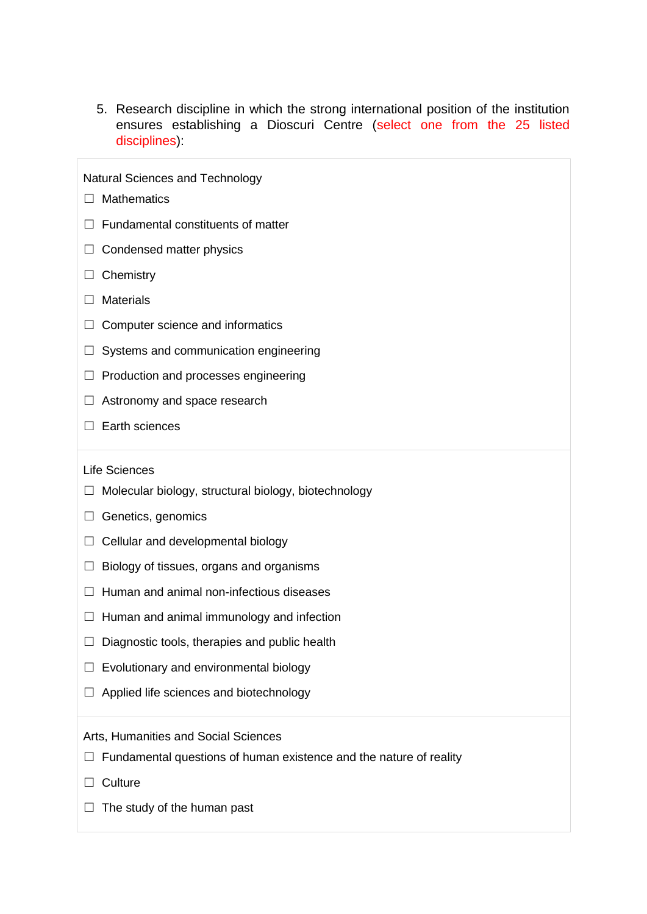5. Research discipline in which the strong international position of the institution ensures establishing a Dioscuri Centre (select one from the 25 listed disciplines):

|  | Natural Sciences and Technology |  |
|--|---------------------------------|--|
|--|---------------------------------|--|

- ☐ Mathematics
- $\Box$  Fundamental constituents of matter
- □ Condensed matter physics
- □ Chemistry
- □ Materials
- $\Box$  Computer science and informatics
- $\Box$  Systems and communication engineering
- ☐ Production and processes engineering
- ☐ Astronomy and space research
- □ Earth sciences

## Life Sciences

- ☐ Molecular biology, structural biology, biotechnology
- □ Genetics, genomics
- ☐ Cellular and developmental biology
- $\Box$  Biology of tissues, organs and organisms
- ☐ Human and animal non-infectious diseases
- $\Box$  Human and animal immunology and infection
- $\Box$  Diagnostic tools, therapies and public health
- $\Box$  Evolutionary and environmental biology
- ☐ Applied life sciences and biotechnology

Arts, Humanities and Social Sciences

- $\Box$  Fundamental questions of human existence and the nature of reality
- □ Culture
- $\Box$  The study of the human past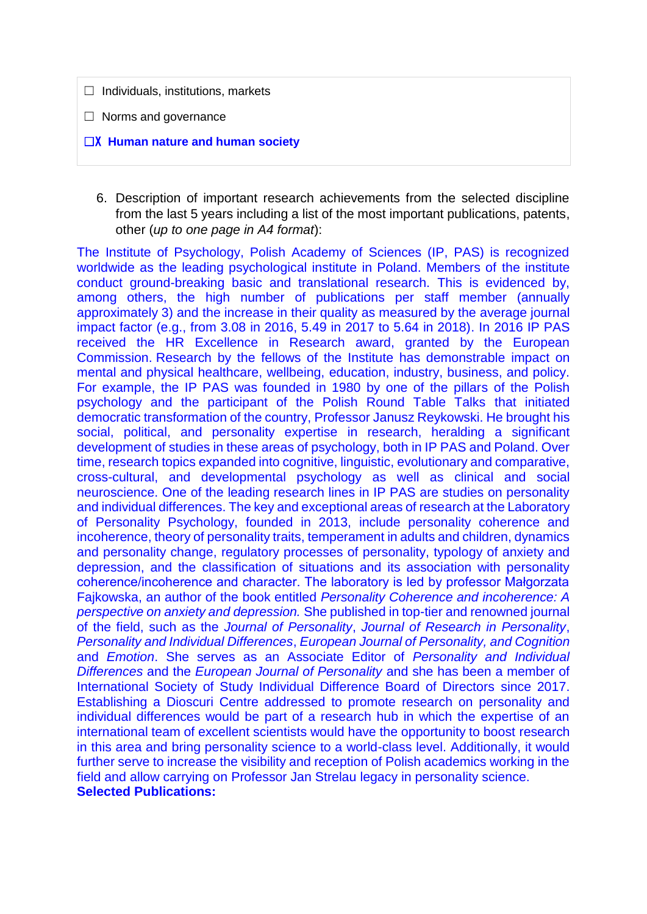- $\Box$  Individuals, institutions, markets
- ☐ Norms and governance
- ☐X **Human nature and human society**
	- 6. Description of important research achievements from the selected discipline from the last 5 years including a list of the most important publications, patents, other (*up to one page in A4 format*):

The Institute of Psychology, Polish Academy of Sciences (IP, PAS) is recognized worldwide as the leading psychological institute in Poland. Members of the institute conduct ground-breaking basic and translational research. This is evidenced by, among others, the high number of publications per staff member (annually approximately 3) and the increase in their quality as measured by the average journal impact factor (e.g., from 3.08 in 2016, 5.49 in 2017 to 5.64 in 2018). In 2016 IP PAS received the HR Excellence in Research award, granted by the European Commission. Research by the fellows of the Institute has demonstrable impact on mental and physical healthcare, wellbeing, education, industry, business, and policy. For example, the IP PAS was founded in 1980 by one of the pillars of the Polish psychology and the participant of the Polish Round Table Talks that initiated democratic transformation of the country, Professor Janusz Reykowski. He brought his social, political, and personality expertise in research, heralding a significant development of studies in these areas of psychology, both in IP PAS and Poland. Over time, research topics expanded into cognitive, linguistic, evolutionary and comparative, cross-cultural, and developmental psychology as well as clinical and social neuroscience. One of the leading research lines in IP PAS are studies on personality and individual differences. The key and exceptional areas of research at the Laboratory of Personality Psychology, founded in 2013, include personality coherence and incoherence, theory of personality traits, temperament in adults and children, dynamics and personality change, regulatory processes of personality, typology of anxiety and depression, and the classification of situations and its association with personality coherence/incoherence and character. The laboratory is led by professor Małgorzata Fajkowska, an author of the book entitled *Personality Coherence and incoherence: A perspective on anxiety and depression.* She published in top-tier and renowned journal of the field, such as the *Journal of Personality*, *Journal of Research in Personality*, *Personality and Individual Differences*, *European Journal of Personality, and Cognition* and *Emotion*. She serves as an Associate Editor of *Personality and Individual Differences* and the *European Journal of Personality* and she has been a member of International Society of Study Individual Difference Board of Directors since 2017. Establishing a Dioscuri Centre addressed to promote research on personality and individual differences would be part of a research hub in which the expertise of an international team of excellent scientists would have the opportunity to boost research in this area and bring personality science to a world-class level. Additionally, it would further serve to increase the visibility and reception of Polish academics working in the field and allow carrying on Professor Jan Strelau legacy in personality science. **Selected Publications:**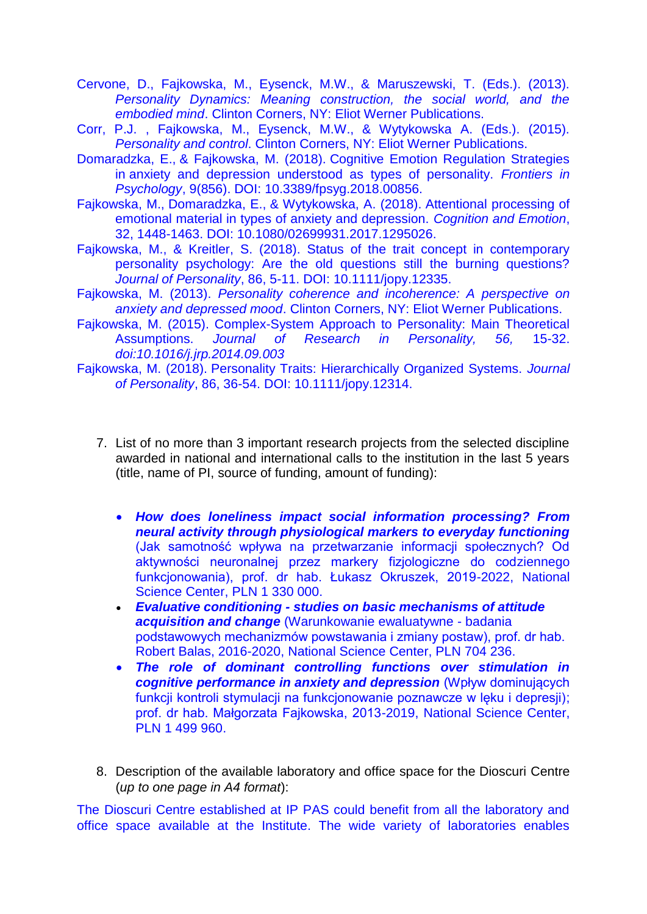- Cervone, D., Fajkowska, M., Eysenck, M.W., & Maruszewski, T. (Eds.). (2013). *Personality Dynamics: Meaning construction, the social world, and the embodied mind*. Clinton Corners, NY: Eliot Werner Publications.
- Corr, P.J. , Fajkowska, M., Eysenck, M.W., & Wytykowska A. (Eds.). (2015). *Personality and control*. Clinton Corners, NY: Eliot Werner Publications.
- Domaradzka, E., & Fajkowska, M. (2018). Cognitive Emotion Regulation Strategies in anxiety and depression understood as types of personality. *Frontiers in Psychology*, 9(856). DOI: 10.3389/fpsyg.2018.00856.
- Fajkowska, M., Domaradzka, E., & Wytykowska, A. (2018). Attentional processing of emotional material in types of anxiety and depression. *Cognition and Emotion*, 32, 1448-1463. DOI: 10.1080/02699931.2017.1295026.
- Fajkowska, M., & Kreitler, S. (2018). Status of the trait concept in contemporary personality psychology: Are the old questions still the burning questions? *Journal of Personality*, 86, 5-11. DOI: 10.1111/jopy.12335.
- Fajkowska, M. (2013). *Personality coherence and incoherence: A perspective on anxiety and depressed mood*. Clinton Corners, NY: Eliot Werner Publications.
- Fajkowska, M. (2015). Complex-System Approach to Personality: Main Theoretical Assumptions. *Journal of Research in Personality, 56,* 15-32. *doi:10.1016/j.jrp.2014.09.003*
- Fajkowska, M. (2018). Personality Traits: Hierarchically Organized Systems. *Journal of Personality*, 86, 36-54. DOI: 10.1111/jopy.12314.
	- 7. List of no more than 3 important research projects from the selected discipline awarded in national and international calls to the institution in the last 5 years (title, name of PI, source of funding, amount of funding):
		- *How does loneliness impact social information processing? From neural activity through physiological markers to everyday functioning* (Jak samotność wpływa na przetwarzanie informacji społecznych? Od aktywności neuronalnej przez markery fizjologiczne do codziennego funkcjonowania), prof. dr hab. Łukasz Okruszek, 2019-2022, National Science Center, PLN 1 330 000.
		- *Evaluative conditioning - studies on basic mechanisms of attitude acquisition and change* (Warunkowanie ewaluatywne - badania podstawowych mechanizmów powstawania i zmiany postaw), prof. dr hab. Robert Balas, 2016-2020, National Science Center, PLN 704 236.
		- *The role of dominant controlling functions over stimulation in cognitive performance in anxiety and depression* (Wpływ dominujących funkcji kontroli stymulacji na funkcjonowanie poznawcze w lęku i depresji); prof. dr hab. Małgorzata Fajkowska, 2013-2019, National Science Center, PLN 1 499 960.
	- 8. Description of the available laboratory and office space for the Dioscuri Centre (*up to one page in A4 format*):

The Dioscuri Centre established at IP PAS could benefit from all the laboratory and office space available at the Institute. The wide variety of laboratories enables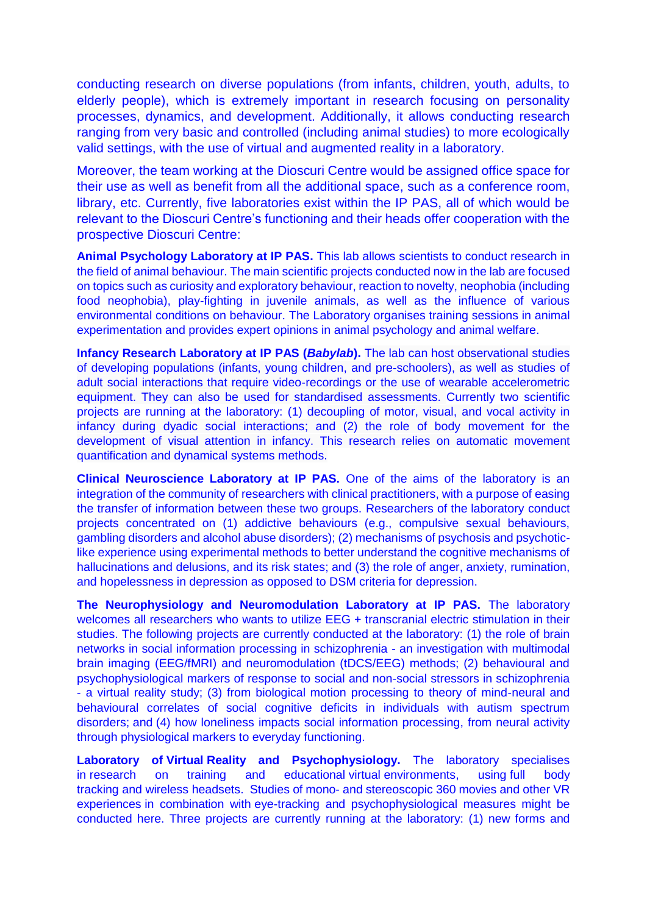conducting research on diverse populations (from infants, children, youth, adults, to elderly people), which is extremely important in research focusing on personality processes, dynamics, and development. Additionally, it allows conducting research ranging from very basic and controlled (including animal studies) to more ecologically valid settings, with the use of virtual and augmented reality in a laboratory.

Moreover, the team working at the Dioscuri Centre would be assigned office space for their use as well as benefit from all the additional space, such as a conference room, library, etc. Currently, five laboratories exist within the IP PAS, all of which would be relevant to the Dioscuri Centre's functioning and their heads offer cooperation with the prospective Dioscuri Centre:

**Animal Psychology Laboratory at IP PAS.** This lab allows scientists to conduct research in the field of animal behaviour. The main scientific projects conducted now in the lab are focused on topics such as curiosity and exploratory behaviour, reaction to novelty, neophobia (including food neophobia), play-fighting in juvenile animals, as well as the influence of various environmental conditions on behaviour. The Laboratory organises training sessions in animal experimentation and provides expert opinions in animal psychology and animal welfare.

**Infancy Research Laboratory at IP PAS (***Babylab***).** The lab can host observational studies of developing populations (infants, young children, and pre-schoolers), as well as studies of adult social interactions that require video-recordings or the use of wearable accelerometric equipment. They can also be used for standardised assessments. Currently two scientific projects are running at the laboratory: (1) decoupling of motor, visual, and vocal activity in infancy during dyadic social interactions; and (2) the role of body movement for the development of visual attention in infancy. This research relies on automatic movement quantification and dynamical systems methods.

**Clinical Neuroscience Laboratory at IP PAS.** One of the aims of the laboratory is an integration of the community of researchers with clinical practitioners, with a purpose of easing the transfer of information between these two groups. Researchers of the laboratory conduct projects concentrated on (1) addictive behaviours (e.g., compulsive sexual behaviours, gambling disorders and alcohol abuse disorders); (2) mechanisms of psychosis and psychoticlike experience using experimental methods to better understand the cognitive mechanisms of hallucinations and delusions, and its risk states; and (3) the role of anger, anxiety, rumination, and hopelessness in depression as opposed to DSM criteria for depression.

**The Neurophysiology and Neuromodulation Laboratory at IP PAS.** The laboratory welcomes all researchers who wants to utilize EEG + transcranial electric stimulation in their studies. The following projects are currently conducted at the laboratory: (1) the role of brain networks in social information processing in schizophrenia - an investigation with multimodal brain imaging (EEG/fMRI) and neuromodulation (tDCS/EEG) methods; (2) behavioural and psychophysiological markers of response to social and non-social stressors in schizophrenia - a virtual reality study; (3) from biological motion processing to theory of mind-neural and behavioural correlates of social cognitive deficits in individuals with autism spectrum disorders; and (4) how loneliness impacts social information processing, from neural activity through physiological markers to everyday functioning.

**Laboratory of Virtual Reality and Psychophysiology.** The laboratory specialises in research on training and educational virtual environments, using full body tracking and wireless headsets. Studies of mono- and stereoscopic 360 movies and other VR experiences in combination with eye-tracking and psychophysiological measures might be conducted here. Three projects are currently running at the laboratory: (1) new forms and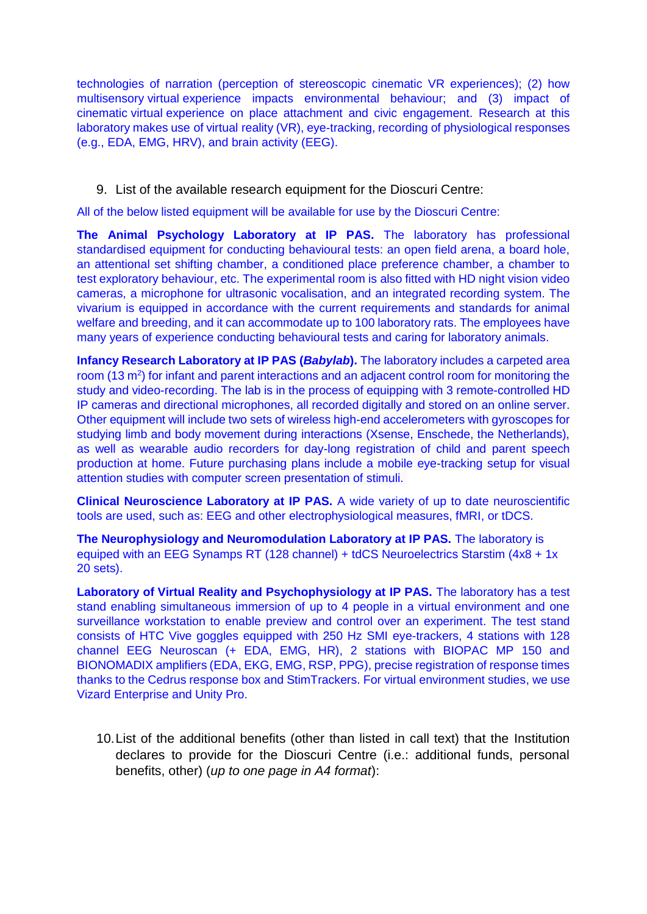technologies of narration (perception of stereoscopic cinematic VR experiences); (2) how multisensory virtual experience impacts environmental behaviour; and (3) impact of cinematic virtual experience on place attachment and civic engagement. Research at this laboratory makes use of virtual reality (VR), eye-tracking, recording of physiological responses (e.g., EDA, EMG, HRV), and brain activity (EEG).

9. List of the available research equipment for the Dioscuri Centre:

All of the below listed equipment will be available for use by the Dioscuri Centre:

**The Animal Psychology Laboratory at IP PAS.** The laboratory has professional standardised equipment for conducting behavioural tests: an open field arena, a board hole, an attentional set shifting chamber, a conditioned place preference chamber, a chamber to test exploratory behaviour, etc. The experimental room is also fitted with HD night vision video cameras, a microphone for ultrasonic vocalisation, and an integrated recording system. The vivarium is equipped in accordance with the current requirements and standards for animal welfare and breeding, and it can accommodate up to 100 laboratory rats. The employees have many years of experience conducting behavioural tests and caring for laboratory animals.

**Infancy Research Laboratory at IP PAS (***Babylab***).** The laboratory includes a carpeted area room (13 $\mathrm{m}^2$ ) for infant and parent interactions and an adjacent control room for monitoring the study and video-recording. The lab is in the process of equipping with 3 remote-controlled HD IP cameras and directional microphones, all recorded digitally and stored on an online server. Other equipment will include two sets of wireless high-end accelerometers with gyroscopes for studying limb and body movement during interactions (Xsense, Enschede, the Netherlands), as well as wearable audio recorders for day-long registration of child and parent speech production at home. Future purchasing plans include a mobile eye-tracking setup for visual attention studies with computer screen presentation of stimuli.

**Clinical Neuroscience Laboratory at IP PAS.** A wide variety of up to date neuroscientific tools are used, such as: EEG and other electrophysiological measures, fMRI, or tDCS.

**The Neurophysiology and Neuromodulation Laboratory at IP PAS.** The laboratory is equiped with an EEG Synamps RT (128 channel) + tdCS Neuroelectrics Starstim (4x8 + 1x 20 sets).

**Laboratory of Virtual Reality and Psychophysiology at IP PAS.** The laboratory has a test stand enabling simultaneous immersion of up to 4 people in a virtual environment and one surveillance workstation to enable preview and control over an experiment. The test stand consists of HTC Vive goggles equipped with 250 Hz SMI eye-trackers, 4 stations with 128 channel EEG Neuroscan (+ EDA, EMG, HR), 2 stations with BIOPAC MP 150 and BIONOMADIX amplifiers (EDA, EKG, EMG, RSP, PPG), precise registration of response times thanks to the Cedrus response box and StimTrackers. For virtual environment studies, we use Vizard Enterprise and Unity Pro.

10.List of the additional benefits (other than listed in call text) that the Institution declares to provide for the Dioscuri Centre (i.e.: additional funds, personal benefits, other) (*up to one page in A4 format*):